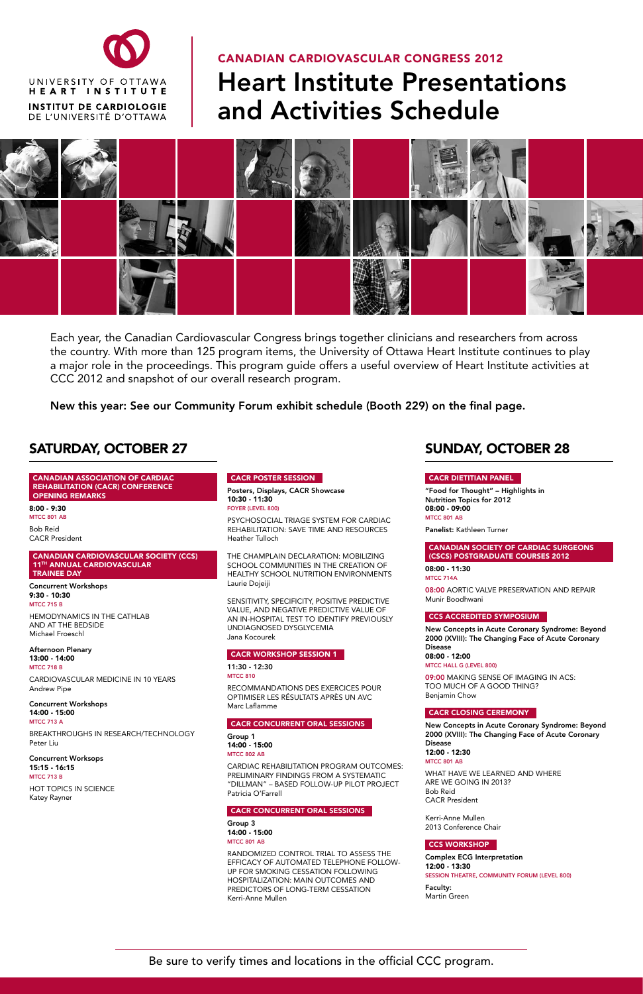## saturday, october 27

CANADIAN ASSOCIATION OF CARDIAC REHABILITATION (CACR) CONFERENCE OPENING REMARKS

8:00 - 9:30 MTCC 801 AB

Bob Reid CACR President

#### CANADIAN CARDIOVASCULAR SOCIETY (CCS) 11th ANNUAL CARDIOVASCULAR TRAINEE DAY

Concurrent Workshops 9:30 - 10:30 MTCC 715 B

HEMODYNAMICS IN THE CATHLAB AND AT THE BEDSIDE Michael Froeschl

Afternoon Plenary 13:00 - 14:00 MTCC 718 B CARDIOVASCULAR MEDICINE IN 10 YEARS Andrew Pipe

Concurrent Workshops  $14:00 - 15:00$ MTCC 713 A

BREAKTHROUGHS IN RESEARCH/TECHNOLOGY Peter Liu

Concurrent Worksops 15:15 - 16:15 MTCC 713 B

HOT TOPICS IN SCIENCE Katey Rayner

#### Group 1 14:00 - 15:00 MTCC 802 AB

## CACR POSTER SESSION

Posters, Displays, CACR Showcase 10:30 - 11:30 Foyer (Level 800)

PSYCHOSOCIAL TRIAGE SYSTEM FOR CARDIAC REHABILITATION: SAVE TIME AND RESOURCES Heather Tulloch

THE CHAMPLAIN DECLARATION: MOBILIZING SCHOOL COMMUNITIES IN THE CREATION OF HEALTHY SCHOOL NUTRITION ENVIRONMENTS Laurie Dojeiji

SENSITIVITY, SPECIFICITY, POSITIVE PREDICTIVE VALUE, AND NEGATIVE PREDICTIVE VALUE OF AN IN-HOSPITAL TEST TO IDENTIFY PREVIOUSLY UNDIAGNOSED DYSGLYCEMIA Jana Kocourek

## CACR WORKSHOP SESSION 1

11:30 - 12:30 MTCC 810

RECOMMANDATIONS DES EXERCICES POUR OPTIMISER LES RÉSULTATS APRÈS UN AVC Marc Laflamme

CACR CONCURRENT ORAL SESSIONS

CARDIAC REHABILITATION PROGRAM OUTCOMES: PRELIMINARY FINDINGS FROM A SYSTEMATIC "DILLMAN" – BASED FOLLOW-UP PILOT PROJECT Patricia O'Farrell

#### CACR CONCURRENT ORAL SESSIONS

Group 3 14:00 - 15:00 MTCC 801 AB

RANDOMIZED CONTROL TRIAL TO ASSESS THE EFFICACY OF AUTOMATED TELEPHONE FOLLOW-UP FOR SMOKING CESSATION FOLLOWING HOSPITALIZATION: MAIN OUTCOMES AND PREDICTORS OF LONG-TERM CESSATION Kerri-Anne Mullen

## sunday, october 28

## CACR DIETITIAN PANEL

"Food for Thought" – Highlights in Nutrition Topics for 2012 08:00 - 09:00 MTCC 801 AB

Panelist: Kathleen Turner

CANADIAN SOCIETY OF CARDIAC SURGEONS (CSCS) POSTGRADUATE COURSES 2012

08:00 - 11:30 MTCC 714A

08:00 AORTIC VALVE PRESERVATION AND REPAIR Munir Boodhwani

## CCS ACCREDITED SYMPOSIUM

New Concepts in Acute Coronary Syndrome: Beyond 2000 (XVIII): The Changing Face of Acute Coronary Disease 08:00 - 12:00

MTCC Hall G (Level 800)

09:00 MAKING SENSE OF IMAGING IN ACS: TOO MUCH OF A GOOD THING? Benjamin Chow

## CACR CLOSING CEREMONY

New Concepts in Acute Coronary Syndrome: Beyond

2000 (XVIII): The Changing Face of Acute Coronary Disease 12:00 - 12:30

#### MTCC 801 AB

WHAT HAVE WE LEARNED AND WHERE ARE WE GOING IN 2013? Bob Reid CACR President

Kerri-Anne Mullen 2013 Conference Chair

#### CCS WORKSHOP

Complex ECG Interpretation 12:00 - 13:30 Session Theatre, Community Forum (Level 800)

Faculty: Martin Green



# CANADIAN CARDIOVASCULAR CONGRESS 2012 Heart Institute Presentations and Activities Schedule



Each year, the Canadian Cardiovascular Congress brings together clinicians and researchers from across the country. With more than 125 program items, the University of Ottawa Heart Institute continues to play a major role in the proceedings. This program guide offers a useful overview of Heart Institute activities at CCC 2012 and snapshot of our overall research program.

New this year: See our Community Forum exhibit schedule (Booth 229) on the final page.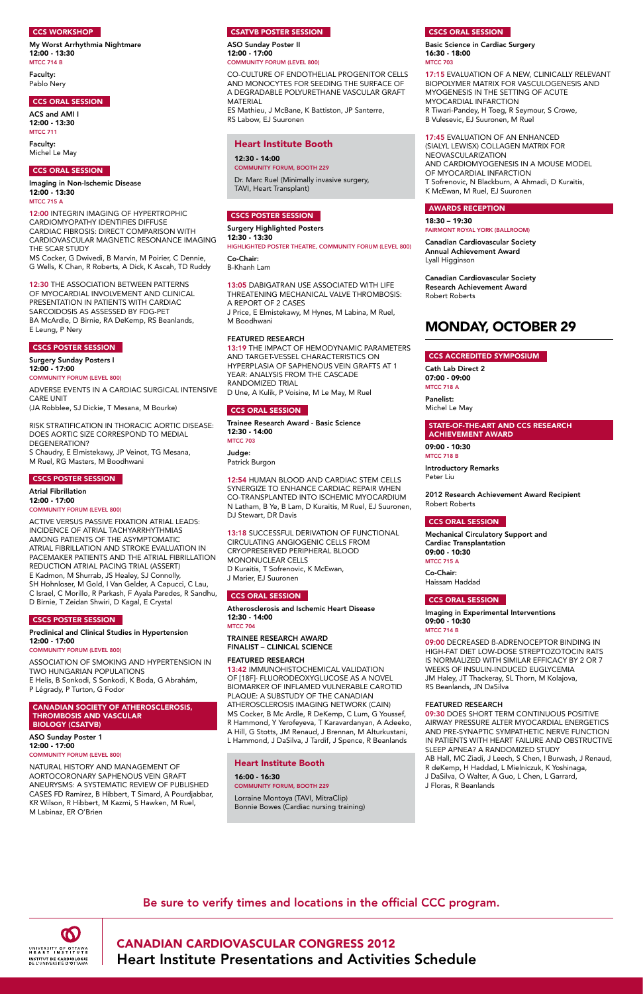

## **CCS WORKSHOP**

My Worst Arrhythmia Nightmare 12:00 - 13:30 **MTCC 714 B** 

> CANADIAN CARDIOVASCULAR CONGRESS 2012 Heart Institute Presentations and Activities Schedule

Faculty:

Pablo Nery

#### CCS ORAL SESSION

ACS and AMI I 12:00 - 13:30 MTCC 711

Faculty: Michel Le May

#### CCS ORAL SESSION

Imaging in Non-Ischemic Disease 12:00 - 13:30 MTCC 715 A

12:00 INTEGRIN IMAGING OF HYPERTROPHIC CARDIOMYOPATHY IDENTIFIES DIFFUSE CARDIAC FIBROSIS: DIRECT COMPARISON WITH CARDIOVASCULAR MAGNETIC RESONANCE IMAGING THE SCAR STUDY MS Cocker, G Dwivedi, B Marvin, M Poirier, C Dennie,

G Wells, K Chan, R Roberts, A Dick, K Ascah, TD Ruddy

12:30 THE ASSOCIATION BETWEEN PATTERNS OF MYOCARDIAL INVOLVEMENT AND CLINICAL PRESENTATION IN PATIENTS WITH CARDIAC SARCOIDOSIS AS ASSESSED BY FDG-PET BA McArdle, D Birnie, RA DeKemp, RS Beanlands, E Leung, P Nery

## CSCS POSTER SESSION

Surgery Sunday Posters I  $12:00 - 17:00$ Community Forum (Level 800)

ADVERSE EVENTS IN A CARDIAC SURGICAL INTENSIVE CARE UNIT (JA Robblee, SJ Dickie, T Mesana, M Bourke)

RISK STRATIFICATION IN THORACIC AORTIC DISEASE: DOES AORTIC SIZE CORRESPOND TO MEDIAL DEGENERATION? S Chaudry, E Elmistekawy, JP Veinot, TG Mesana, M Ruel, RG Masters, M Boodhwani

#### CSCS POSTER SESSION

Atrial Fibrillation 12:00 - 17:00 Community Forum (Level 800)

ACTIVE VERSUS PASSIVE FIXATION ATRIAL LEADS: INCIDENCE OF ATRIAL TACHYARRHYTHMIAS AMONG PATIENTS OF THE ASYMPTOMATIC ATRIAL FIBRILLATION AND STROKE EVALUATION IN PACEMAKER PATIENTS AND THE ATRIAL FIBRILLATION REDUCTION ATRIAL PACING TRIAL (ASSERT) E Kadmon, M Shurrab, JS Healey, SJ Connolly, SH Hohnloser, M Gold, I Van Gelder, A Capucci, C Lau, C Israel, C Morillo, R Parkash, F Ayala Paredes, R Sandhu, D Birnie, T Zeidan Shwiri, D Kagal, E Crystal

#### CSCS POSTER SESSION

Preclinical and Clinical Studies in Hypertension 12:00 - 17:00

#### Community Forum (Level 800)

ASSOCIATION OF SMOKING AND HYPERTENSION IN TWO HUNGARIAN POPULATIONS E Helis, B Sonkodi, S Sonkodi, K Boda, G Abrahám, P Légrady, P Turton, G Fodor

#### CANADIAN SOCIETY OF ATHEROSCLEROSIS, THROMBOSIS AND VASCULAR BIOLOGY (CSATVB)

#### ASO Sunday Poster 1 12:00 - 17:00 Community Forum (Level 800)

17:45 EVALUATION OF AN ENHANCED (SIALYL LEWISX) COLLAGEN MATRIX FOR NEOVASCULARIZATION AND CARDIOMYOGENESIS IN A MOUSE MODEL OF MYOCARDIAL INFARCTION T Sofrenovic, N Blackburn, A Ahmadi, D Kuraitis, K McEwan, M Ruel, EJ Suuronen

NATURAL HISTORY AND MANAGEMENT OF AORTOCORONARY SAPHENOUS VEIN GRAFT ANEURYSMS: A SYSTEMATIC REVIEW OF PUBLISHED CASES FD Ramirez, B Hibbert, T Simard, A Pourdjabbar, KR Wilson, R Hibbert, M Kazmi, S Hawken, M Ruel, M Labinaz, ER O'Brien

#### CSATVB POSTER SESSION

ASO Sunday Poster II 12:00 - 17:00 Community Forum (Level 800)

CO-CULTURE OF ENDOTHELIAL PROGENITOR CELLS AND MONOCYTES FOR SEEDING THE SURFACE OF A DEGRADABLE POLYURETHANE VASCULAR GRAFT MATERIAL ES Mathieu, J McBane, K Battiston, JP Santerre,

RS Labow, EJ Suuronen

## CSCS POSTER SESSION

Surgery Highlighted Posters 12:30 - 13:30 Highlighted Poster Theatre, Community Forum (Level 800)

Co-Chair: B-Khanh Lam

13:05 DABIGATRAN USE ASSOCIATED WITH LIFE THREATENING MECHANICAL VALVE THROMBOSIS: A REPORT OF 2 CASES J Price, E Elmistekawy, M Hynes, M Labina, M Ruel, M Boodhwani

#### FEATURED RESEARCH

13:19 THE IMPACT OF HEMODYNAMIC PARAMETERS AND TARGET-VESSEL CHARACTERISTICS ON HYPERPLASIA OF SAPHENOUS VEIN GRAFTS AT 1 YEAR: ANALYSIS FROM THE CASCADE RANDOMIZED TRIAL D Une, A Kulik, P Voisine, M Le May, M Ruel

## CCS ORAL SESSION

Trainee Research Award - Basic Science 12:30 - 14:00 MTCC 703

Judge: Patrick Burgon

12:54 HUMAN BLOOD AND CARDIAC STEM CELLS SYNERGIZE TO ENHANCE CARDIAC REPAIR WHEN CO-TRANSPLANTED INTO ISCHEMIC MYOCARDIUM N Latham, B Ye, B Lam, D Kuraitis, M Ruel, EJ Suuronen, DJ Stewart, DR Davis

13:18 SUCCESSFUL DERIVATION OF FUNCTIONAL CIRCULATING ANGIOGENIC CELLS FROM CRYOPRESERVED PERIPHERAL BLOOD MONONUCLEAR CELLS D Kuraitis, T Sofrenovic, K McEwan, J Marier, EJ Suuronen

## CCS ORAL SESSION

Atherosclerosis and Ischemic Heart Disease 12:30 - 14:00 MTCC 704

TRAINEE RESEARCH AWARD FINALIST – CLINICAL SCIENCE

#### FEATURED RESEARCH

13:42 IMMUNOHISTOCHEMICAL VALIDATION OF [18F]- FLUORODEOXYGLUCOSE AS A NOVEL BIOMARKER OF INFLAMED VULNERABLE CAROTID PLAQUE: A SUBSTUDY OF THE CANADIAN ATHEROSCLEROSIS IMAGING NETWORK (CAIN) MS Cocker, B Mc Ardle, R DeKemp, C Lum, G Youssef, R Hammond, Y Yerofeyeva, T Karavardanyan, A Adeeko,

A Hill, G Stotts, JM Renaud, J Brennan, M Alturkustani, L Hammond, J DaSilva, J Tardif, J Spence, R Beanlands

## CSCS ORAL SESSION

Basic Science in Cardiac Surgery 16:30 - 18:00 MTCC 703

17:15 EVALUATION OF A NEW, CLINICALLY RELEVANT BIOPOLYMER MATRIX FOR VASCULOGENESIS AND MYOGENESIS IN THE SETTING OF ACUTE MYOCARDIAL INFARCTION R Tiwari-Pandey, H Toeg, R Seymour, S Crowe, B Vulesevic, EJ Suuronen, M Ruel

#### CARDIOVASCULAR SOCIETY AWARDS RECEPTION

18:30 – 19:30 Fairmont Royal York (Ballroom)

Canadian Cardiovascular Society Annual Achievement Award Lyall Higginson

Canadian Cardiovascular Society Research Achievement Award Robert Roberts

## monday, october 29

## CCS ACCREDITED SYMPOSIUM

Cath Lab Direct 2 07:00 - 09:00 MTCC 718 A

Panelist: Michel Le May

## STATE-OF-THE-ART AND CCS RESEARCH ACHIEVEMENT AWARD

09:00 - 10:30 MTCC 718 B

Introductory Remarks Peter Liu

2012 Research Achievement Award Recipient Robert Roberts

#### CCS ORAL SESSION

Mechanical Circulatory Support and Cardiac Transplantation 09:00 - 10:30 MTCC 715 A Co-Chair:

Haissam Haddad

#### CCS ORAL SESSION

Imaging in Experimental Interventions 09:00 - 10:30 MTCC 714 B

09:00 DECREASED ß-ADRENOCEPTOR BINDING IN HIGH-FAT DIET LOW-DOSE STREPTOZOTOCIN RATS IS NORMALIZED WITH SIMILAR EFFICACY BY 2 OR 7 WEEKS OF INSULIN-INDUCED EUGLYCEMIA JM Haley, JT Thackeray, SL Thorn, M Kolajova, RS Beanlands, JN DaSilva

## FEATURED RESEARCH

09:30 DOES SHORT TERM CONTINUOUS POSITIVE AIRWAY PRESSURE ALTER MYOCARDIAL ENERGETICS AND PRE-SYNAPTIC SYMPATHETIC NERVE FUNCTION IN PATIENTS WITH HEART FAILURE AND OBSTRUCTIVE SLEEP APNEA? A RANDOMIZED STUDY AB Hall, MC Ziadi, J Leech, S Chen, I Burwash, J Renaud, R deKemp, H Haddad, L Mielniczuk, K Yoshinaga, J DaSilva, O Walter, A Guo, L Chen, L Garrard, J Floras, R Beanlands

## Heart Institute Booth

16:00 - 16:30 Community forum, booth 229

Lorraine Montoya (TAVI, MitraClip) Bonnie Bowes (Cardiac nursing training)

## Heart Institute Booth

12:30 - 14:00 Community forum, booth 229

Dr. Marc Ruel (Minimally invasive surgery, TAVI, Heart Transplant)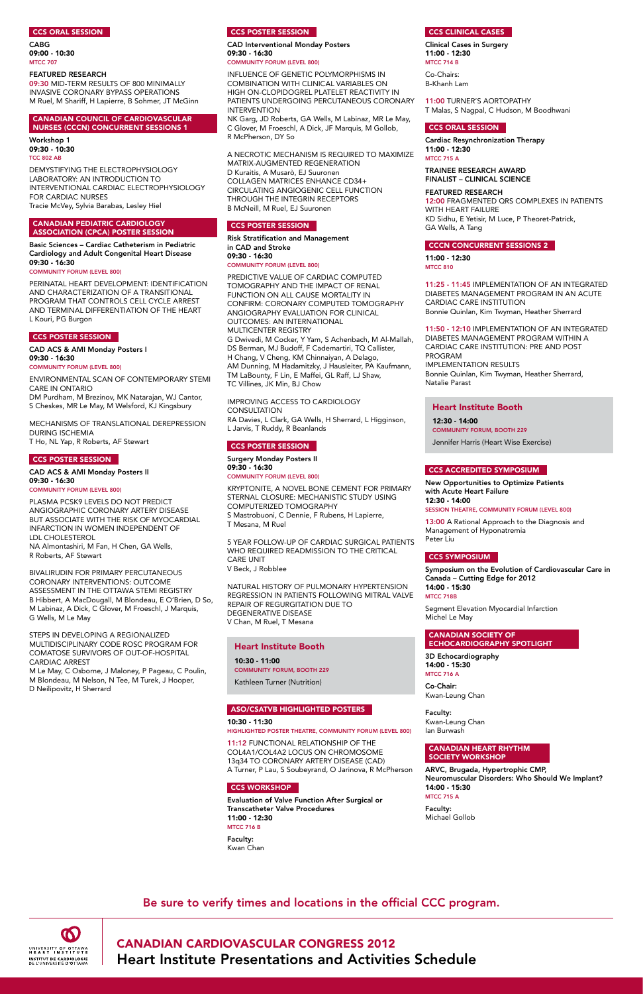

CANADIAN CARDIOVASCULAR CONGRESS 2012 Heart Institute Presentations and Activities Schedule

#### CCS ORAL SESSION

CABG 09:00 - 10:30 MTCC 707

#### FEATURED RESEARCH

09:30 MID-TERM RESULTS OF 800 MINIMALLY INVASIVE CORONARY BYPASS OPERATIONS M Ruel, M Shariff, H Lapierre, B Sohmer, JT McGinn

#### CANADIAN COUNCIL OF CARDIOVASCULAR NURSES (CCCN) CONCURRENT SESSIONS 1

Workshop 1 09:30 - 10:30 TCC 802 AB

DEMYSTIFYING THE ELECTROPHYSIOLOGY LABORATORY: AN INTRODUCTION TO INTERVENTIONAL CARDIAC ELECTROPHYSIOLOGY FOR CARDIAC NURSES Tracie McVey, Sylvia Barabas, Lesley Hiel

#### CANADIAN PEDIATRIC CARDIOLOGY ASSOCIATION (CPCA) POSTER SESSION

Basic Sciences – Cardiac Catheterism in Pediatric Cardiology and Adult Congenital Heart Disease 09:30 - 16:30

#### Community Forum (Level 800)

PERINATAL HEART DEVELOPMENT: IDENTIFICATION AND CHARACTERIZATION OF A TRANSITIONAL PROGRAM THAT CONTROLS CELL CYCLE ARREST AND TERMINAL DIFFERENTIATION OF THE HEART L Kouri, PG Burgon

## CCS POSTER SESSION

CAD ACS & AMI Monday Posters I 09:30 - 16:30

Community Forum (Level 800)

ENVIRONMENTAL SCAN OF CONTEMPORARY STEMI CARE IN ONTARIO DM Purdham, M Brezinov, MK Natarajan, WJ Cantor,

S Cheskes, MR Le May, M Welsford, KJ Kingsbury MECHANISMS OF TRANSLATIONAL DEREPRESSION

DURING ISCHEMIA T Ho, NL Yap, R Roberts, AF Stewart

## CCS POSTER SESSION

CAD ACS & AMI Monday Posters II 09:30 - 16:30 Community Forum (Level 800)

PLASMA PCSK9 LEVELS DO NOT PREDICT ANGIOGRAPHIC CORONARY ARTERY DISEASE BUT ASSOCIATE WITH THE RISK OF MYOCARDIAL INFARCTION IN WOMEN INDEPENDENT OF LDL CHOLESTEROL NA Almontashiri, M Fan, H Chen, GA Wells, R Roberts, AF Stewart

#### IMPROVING ACCESS TO CARDIOLOGY **CONSULTATION**

BIVALIRUDIN FOR PRIMARY PERCUTANEOUS CORONARY INTERVENTIONS: OUTCOME ASSESSMENT IN THE OTTAWA STEMI REGISTRY B Hibbert, A MacDougall, M Blondeau, E O'Brien, D So, M Labinaz, A Dick, C Glover, M Froeschl, J Marquis, G Wells, M Le May

STEPS IN DEVELOPING A REGIONALIZED MULTIDISCIPLINARY CODE ROSC PROGRAM FOR COMATOSE SURVIVORS OF OUT-OF-HOSPITAL CARDIAC ARREST

M Le May, C Osborne, J Maloney, P Pageau, C Poulin, M Blondeau, M Nelson, N Tee, M Turek, J Hooper, D Neilipovitz, H Sherrard

## CCS POSTER SESSION

CAD Interventional Monday Posters 09:30 - 16:30 Community Forum (Level 800)

Clinical Cases in Surgery 11:00 - 12:30 **MTCC 714 B** 

INFLUENCE OF GENETIC POLYMORPHISMS IN COMBINATION WITH CLINICAL VARIABLES ON HIGH ON-CLOPIDOGREL PLATELET REACTIVITY IN PATIENTS UNDERGOING PERCUTANEOUS CORONARY INTERVENTION

NK Garg, JD Roberts, GA Wells, M Labinaz, MR Le May, C Glover, M Froeschl, A Dick, JF Marquis, M Gollob, R McPherson, DY So

A NECROTIC MECHANISM IS REQUIRED TO MAXIMIZE MATRIX-AUGMENTED REGENERATION D Kuraitis, A Musarò, EJ Suuronen COLLAGEN MATRICES ENHANCE CD34+ CIRCULATING ANGIOGENIC CELL FUNCTION THROUGH THE INTEGRIN RECEPTORS B McNeill, M Ruel, EJ Suuronen

## CCS POSTER SESSION

Risk Stratification and Management in CAD and Stroke 09:30 - 16:30 Community Forum (Level 800)

PREDICTIVE VALUE OF CARDIAC COMPUTED TOMOGRAPHY AND THE IMPACT OF RENAL FUNCTION ON ALL CAUSE MORTALITY IN CONFIRM: CORONARY COMPUTED TOMOGRAPHY ANGIOGRAPHY EVALUATION FOR CLINICAL OUTCOMES: AN INTERNATIONAL MULTICENTER REGISTRY

G Dwivedi, M Cocker, Y Yam, S Achenbach, M Al-Mallah, DS Berman, MJ Budoff, F Cademartiri, TQ Callister, H Chang, V Cheng, KM Chinnaiyan, A Delago, AM Dunning, M Hadamitzky, J Hausleiter, PA Kaufmann, TM LaBounty, F Lin, E Maffei, GL Raff, LJ Shaw, TC Villines, JK Min, BJ Chow

RA Davies, L Clark, GA Wells, H Sherrard, L Higginson, L Jarvis, T Ruddy, R Beanlands

## CCS POSTER SESSION

Surgery Monday Posters II 09:30 - 16:30 Community Forum (Level 800)

KRYPTONITE, A NOVEL BONE CEMENT FOR PRIMARY STERNAL CLOSURE: MECHANISTIC STUDY USING COMPUTERIZED TOMOGRAPHY S Mastrobuoni, C Dennie, F Rubens, H Lapierre, T Mesana, M Ruel

5 YEAR FOLLOW-UP OF CARDIAC SURGICAL PATIENTS WHO REQUIRED READMISSION TO THE CRITICAL CARE UNIT V Beck, J Robblee

NATURAL HISTORY OF PULMONARY HYPERTENSION REGRESSION IN PATIENTS FOLLOWING MITRAL VALVE REPAIR OF REGURGITATION DUE TO DEGENERATIVE DISEASE V Chan, M Ruel, T Mesana

## ASO/CSATVB HIGHLIGHTED POSTERS

10:30 - 11:30

Highlighted Poster Theatre, Community Forum (Level 800)

11:12 FUNCTIONAL RELATIONSHIP OF THE COL4A1/COL4A2 LOCUS ON CHROMOSOME 13q34 TO CORONARY ARTERY DISEASE (CAD) A Turner, P Lau, S Soubeyrand, O Jarinova, R McPherson

#### CCS WORKSHOP

Evaluation of Valve Function After Surgical or Transcatheter Valve Procedures 11:00 - 12:30 MTCC 716 B

Faculty: Kwan Chan

## CCS Clinical Cases

Co-Chairs: B-Khanh Lam

11:00 TURNER'S AORTOPATHY T Malas, S Nagpal, C Hudson, M Boodhwani

#### CCS ORAL SESSION

Cardiac Resynchronization Therapy 11:00 - 12:30

**MTCC 715 A** 

## TRAINEE RESEARCH AWARD FINALIST – CLINICAL SCIENCE

FEATURED RESEARCH 12:00 FRAGMENTED QRS COMPLEXES IN PATIENTS WITH HEART FAILURE KD Sidhu, E Yetisir, M Luce, P Theoret-Patrick, GA Wells, A Tang

## CCCN CONCURRENT SESSIONS 2

11:00 - 12:30 MTCC 810

11:25 - 11:45 IMPLEMENTATION OF AN INTEGRATED DIABETES MANAGEMENT PROGRAM IN AN ACUTE CARDIAC CARE INSTITUTION Bonnie Quinlan, Kim Twyman, Heather Sherrard

11:50 - 12:10 IMPLEMENTATION OF AN INTEGRATED DIABETES MANAGEMENT PROGRAM WITHIN A CARDIAC CARE INSTITUTION: PRE AND POST PROGRAM IMPLEMENTATION RESULTS Bonnie Quinlan, Kim Twyman, Heather Sherrard, Natalie Parast

## CCS ACCREDITED SYMPOSIUM

New Opportunities to Optimize Patients with Acute Heart Failure 12:30 - 14:00 Session Theatre, Community Forum (Level 800)

13:00 A Rational Approach to the Diagnosis and Management of Hyponatremia Peter Liu

## CCS SYMPOSIUM

Symposium on the Evolution of Cardiovascular Care in Canada – Cutting Edge for 2012 14:00 - 15:30 MTCC 718B

Segment Elevation Myocardial Infarction Michel Le May

#### CANADIAN SOCIETY OF ECHOCARDIOGRAPHY SPOTLIGHT

3D Echocardiography 14:00 - 15:30 MTCC 716 A

Co-Chair: Kwan-Leung Chan

Faculty: Kwan-Leung Chan Ian Burwash

#### CANADIAN HEART RHYTHM SOCIETY WORKSHOP

ARVC, Brugada, Hypertrophic CMP, Neuromuscular Disorders: Who Should We Implant? 14:00 - 15:30

MTCC 715 A

Faculty: Michael Gollob

## Heart Institute Booth

10:30 - 11:00 Community forum, booth 229 Kathleen Turner (Nutrition)

## Heart Institute Booth

12:30 - 14:00 Community forum, booth 229 Jennifer Harris (Heart Wise Exercise)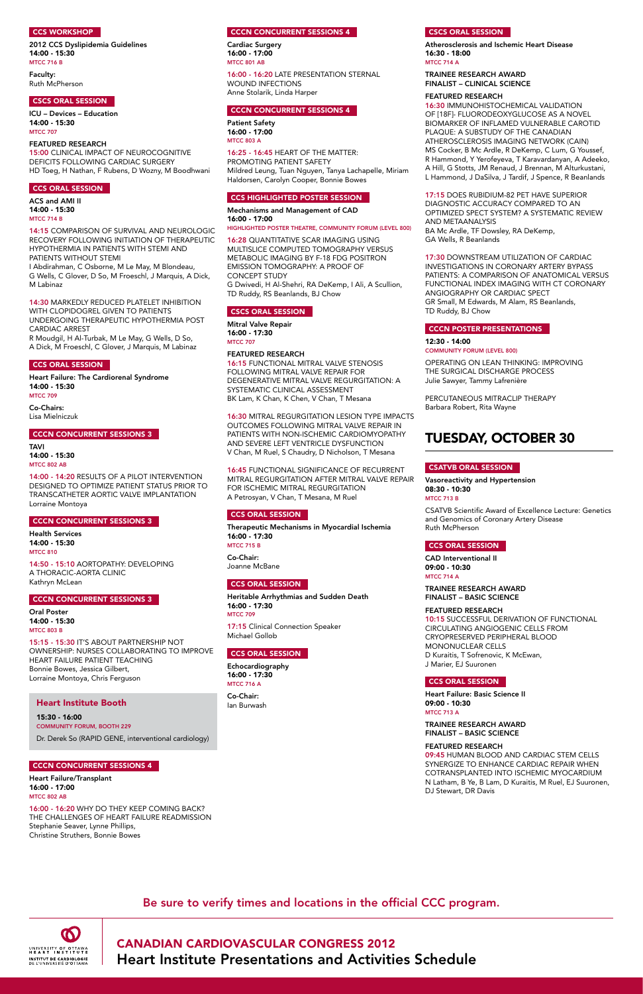

2012 CCS Dyslipidemia Guidelines 14:00 - 15:30 **MTCC 716 B** 

> CANADIAN CARDIOVASCULAR CONGRESS 2012 Heart Institute Presentations and Activities Schedule

## CCS WORKSHOP

## Faculty: Ruth McPherson

## CSCS ORAL SESSION

ICU – Devices – Education 14:00 - 15:30 MTCC 707

#### FEATURED RESEARCH

15:00 CLINICAL IMPACT OF NEUROCOGNITIVE DEFICITS FOLLOWING CARDIAC SURGERY HD Toeg, H Nathan, F Rubens, D Wozny, M Boodhwani

## CCS ORAL SESSION

ACS and AMI II 14:00 - 15:30 MTCC 714 B

14:15 COMPARISON OF SURVIVAL AND NEUROLOGIC RECOVERY FOLLOWING INITIATION OF THERAPEUTIC HYPOTHERMIA IN PATIENTS WITH STEMI AND PATIENTS WITHOUT STEMI

I Abdirahman, C Osborne, M Le May, M Blondeau, G Wells, C Glover, D So, M Froeschl, J Marquis, A Dick, M Labinaz

14:30 MARKEDLY REDUCED PLATELET INHIBITION WITH CLOPIDOGREL GIVEN TO PATIENTS UNDERGOING THERAPEUTIC HYPOTHERMIA POST CARDIAC ARREST

R Moudgil, H Al-Turbak, M Le May, G Wells, D So, A Dick, M Froeschl, C Glover, J Marquis, M Labinaz Cardiac Surgery 16:00 - 17:00 MTCC 801 AB

## CCS ORAL SESSION

Heart Failure: The Cardiorenal Syndrome 14:00 - 15:30 MTCC 709

Co-Chairs: Lisa Mielniczuk

## CCCN CONCURRENT SESSIONS 3

TAVI 14:00 - 15:30 MTCC 802 AB

14:00 - 14:20 RESULTS OF A PILOT INTERVENTION DESIGNED TO OPTIMIZE PATIENT STATUS PRIOR TO TRANSCATHETER AORTIC VALVE IMPLANTATION Lorraine Montoya

## CCCN CONCURRENT SESSIONS 3

Health Services 14:00 - 15:30 MTCC 810

14:50 - 15:10 AORTOPATHY: DEVELOPING A THORACIC-AORTA CLINIC Kathryn McLean

## CCCN CONCURRENT SESSIONS 3

Oral Poster 14:00 - 15:30 MTCC 803 B

15:15 - 15:30 IT'S ABOUT PARTNERSHIP NOT OWNERSHIP: NURSES COLLABORATING TO IMPROVE HEART FAILURE PATIENT TEACHING Bonnie Bowes, Jessica Gilbert, Lorraine Montoya, Chris Ferguson

Heart Failure/Transplant 16:00 - 17:00 MTCC 802 AB

Atherosclerosis and Ischemic Heart Disease 16:30 - 18:00 **MTCC 714 A** 

16:00 - 16:20 WHY DO THEY KEEP COMING BACK? THE CHALLENGES OF HEART FAILURE READMISSION Stephanie Seaver, Lynne Phillips, Christine Struthers, Bonnie Bowes

16:00 - 16:20 LATE PRESENTATION STERNAL WOUND INFECTIONS Anne Stolarik, Linda Harper

## CCCN CONCURRENT SESSIONS 4

Patient Safety 16:00 - 17:00 MTCC 803 A

16:25 - 16:45 HEART OF THE MATTER: PROMOTING PATIENT SAFETY Mildred Leung, Tuan Nguyen, Tanya Lachapelle, Miriam Haldorsen, Carolyn Cooper, Bonnie Bowes

## CCS HIGHLIGHTED POSTER SESSION

Mechanisms and Management of CAD 16:00 - 17:00

#### Highlighted Poster Theatre, Community Forum (Level 800)

Vasoreactivity and Hypertension 08:30 - 10:30 **MTCC 713 B** 

16:28 QUANTITATIVE SCAR IMAGING USING MULTISLICE COMPUTED TOMOGRAPHY VERSUS METABOLIC IMAGING BY F-18 FDG POSITRON EMISSION TOMOGRAPHY: A PROOF OF CONCEPT STUDY G Dwivedi, H Al-Shehri, RA DeKemp, I Ali, A Scullion, TD Ruddy, RS Beanlands, BJ Chow

## CSCS ORAL SESSION

Mitral Valve Repair 16:00 - 17:30 MTCC 707

## FEATURED RESEARCH

16:15 FUNCTIONAL MITRAL VALVE STENOSIS FOLLOWING MITRAL VALVE REPAIR FOR DEGENERATIVE MITRAL VALVE REGURGITATION: A SYSTEMATIC CLINICAL ASSESSMENT BK Lam, K Chan, K Chen, V Chan, T Mesana

16:30 MITRAL REGURGITATION LESION TYPE IMPACTS OUTCOMES FOLLOWING MITRAL VALVE REPAIR IN PATIENTS WITH NON-ISCHEMIC CARDIOMYOPATHY AND SEVERE LEFT VENTRICLE DYSFUNCTION V Chan, M Ruel, S Chaudry, D Nicholson, T Mesana

16:45 FUNCTIONAL SIGNIFICANCE OF RECURRENT MITRAL REGURGITATION AFTER MITRAL VALVE REPAIR FOR ISCHEMIC MITRAL REGURGITATION A Petrosyan, V Chan, T Mesana, M Ruel

## CCS ORAL SESSION

Therapeutic Mechanisms in Myocardial Ischemia 16:00 - 17:30 MTCC 715 B

Co-Chair: Joanne McBane

## CCS ORAL SESSION

Heritable Arrhythmias and Sudden Death 16:00 - 17:30 MTCC 709

17:15 Clinical Connection Speaker Michael Gollob

## CCS ORAL SESSION

Echocardiography 16:00 - 17:30 MTCC 716 A

Co-Chair: Ian Burwash

## CSCS ORAL SESSION

#### TRAINEE RESEARCH AWARD FINALIST – CLINICAL SCIENCE

#### FEATURED RESEARCH

16:30 IMMUNOHISTOCHEMICAL VALIDATION OF [18F]- FLUORODEOXYGLUCOSE AS A NOVEL BIOMARKER OF INFLAMED VULNERABLE CAROTID PLAQUE: A SUBSTUDY OF THE CANADIAN ATHEROSCLEROSIS IMAGING NETWORK (CAIN) MS Cocker, B Mc Ardle, R DeKemp, C Lum, G Youssef, R Hammond, Y Yerofeyeva, T Karavardanyan, A Adeeko, A Hill, G Stotts, JM Renaud, J Brennan, M Alturkustani, L Hammond, J DaSilva, J Tardif, J Spence, R Beanlands

17:15 DOES RUBIDIUM-82 PET HAVE SUPERIOR DIAGNOSTIC ACCURACY COMPARED TO AN OPTIMIZED SPECT SYSTEM? A SYSTEMATIC REVIEW AND METAANALYSIS BA Mc Ardle, TF Dowsley, RA DeKemp, GA Wells, R Beanlands

17:30 DOWNSTREAM UTILIZATION OF CARDIAC INVESTIGATIONS IN CORONARY ARTERY BYPASS PATIENTS: A COMPARISON OF ANATOMICAL VERSUS FUNCTIONAL INDEX IMAGING WITH CT CORONARY ANGIOGRAPHY OR CARDIAC SPECT GR Small, M Edwards, M Alam, RS Beanlands, TD Ruddy, BJ Chow

## CCCN POSTER PRESENTATIONS

12:30 - 14:00 Community Forum (Level 800)

OPERATING ON LEAN THINKING: IMPROVING THE SURGICAL DISCHARGE PROCESS Julie Sawyer, Tammy Lafrenière

PERCUTANEOUS MITRACLIP THERAPY Barbara Robert, Rita Wayne

## tuesday, october 30

## CSATVB ORAL SESSION

CSATVB Scientific Award of Excellence Lecture: Genetics and Genomics of Coronary Artery Disease Ruth McPherson

## CCS ORAL SESSION

CAD Interventional II 09:00 - 10:30 MTCC 714 A

TRAINEE RESEARCH AWARD FINALIST – BASIC SCIENCE

## FEATURED RESEARCH

10:15 SUCCESSFUL DERIVATION OF FUNCTIONAL CIRCULATING ANGIOGENIC CELLS FROM CRYOPRESERVED PERIPHERAL BLOOD MONONUCLEAR CELLS D Kuraitis, T Sofrenovic, K McEwan, J Marier, EJ Suuronen

## CCS ORAL SESSION

Heart Failure: Basic Science II 09:00 - 10:30 MTCC 713 A

TRAINEE RESEARCH AWARD

#### FINALIST – BASIC SCIENCE

#### FEATURED RESEARCH

09:45 HUMAN BLOOD AND CARDIAC STEM CELLS SYNERGIZE TO ENHANCE CARDIAC REPAIR WHEN COTRANSPLANTED INTO ISCHEMIC MYOCARDIUM N Latham, B Ye, B Lam, D Kuraitis, M Ruel, EJ Suuronen, DJ Stewart, DR Davis

## Heart Institute Booth

15:30 - 16:00 Community forum, booth 229

## **CCCN CONCURRENT SESSIONS 4**

Dr. Derek So (RAPID GENE, interventional cardiology)

## **CCCN CONCURRENT SESSIONS 4**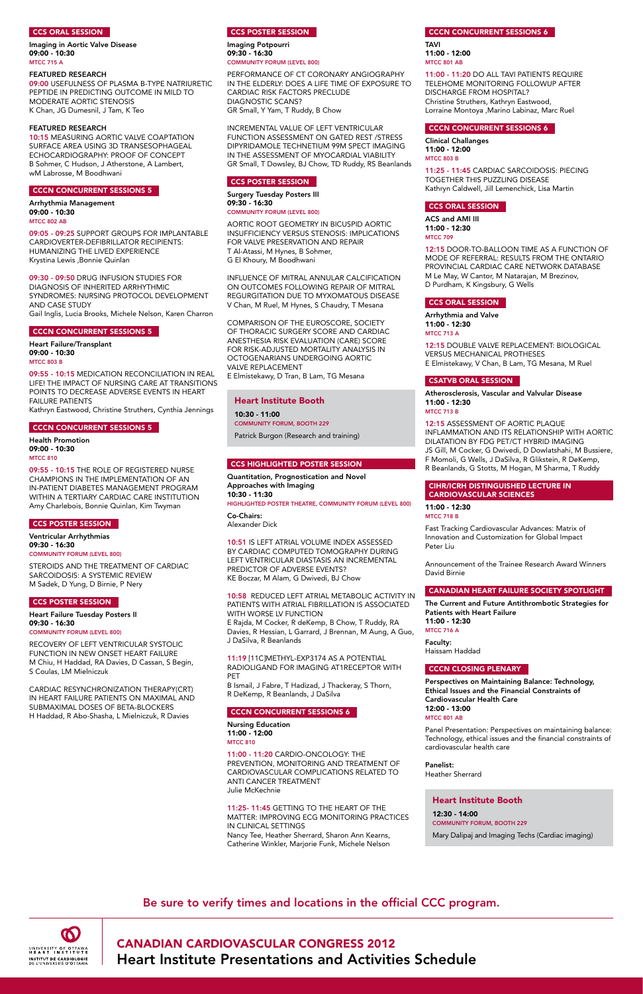

Imaging in Aortic Valve Disease 09:00 - 10:30 **MTCC 715 A** 

> CANADIAN CARDIOVASCULAR CONGRESS 2012 Heart Institute Presentations and Activities Schedule

## CCS ORAL SESSION

#### FEATURED RESEARCH

09:00 USEFULNESS OF PLASMA B-TYPE NATRIURETIC PEPTIDE IN PREDICTING OUTCOME IN MILD TO MODERATE AORTIC STENOSIS K Chan, JG Dumesnil, J Tam, K Teo

#### FEATURED RESEARCH

10:15 MEASURING AORTIC VALVE COAPTATION SURFACE AREA USING 3D TRANSESOPHAGEAL ECHOCARDIOGRAPHY: PROOF OF CONCEPT B Sohmer, C Hudson, J Atherstone, A Lambert, wM Labrosse, M Boodhwani

Heart Failure/Transplant 09:00 - 10:30 MTCC 803 B

#### CCCN CONCURRENT SESSIONS 5

Arrhythmia Management 09:00 - 10:30 MTCC 802 AB

09:05 - 09:25 SUPPORT GROUPS FOR IMPLANTABLE CARDIOVERTER-DEFIBRILLATOR RECIPIENTS: HUMANIZING THE LIVED EXPERIENCE Krystina Lewis ,Bonnie Quinlan

## 09:30 - 09:50 DRUG INFUSION STUDIES FOR DIAGNOSIS OF INHERITED ARRHYTHMIC SYNDROMES: NURSING PROTOCOL DEVELOPMENT AND CASE STUDY

Gail Inglis, Lucia Brooks, Michele Nelson, Karen Charron

#### CCCN CONCURRENT SESSIONS 5

09:55 - 10:15 MEDICATION RECONCILIATION IN REAL LIFE! THE IMPACT OF NURSING CARE AT TRANSITIONS POINTS TO DECREASE ADVERSE EVENTS IN HEART FAILURE PATIENTS Kathryn Eastwood, Christine Struthers, Cynthia Jennings

## CCCN CONCURRENT SESSIONS 5

Health Promotion 09:00 - 10:30 MTCC 810

09:55 - 10:15 THE ROLE OF REGISTERED NURSE CHAMPIONS IN THE IMPLEMENTATION OF AN IN-PATIENT DIABETES MANAGEMENT PROGRAM WITHIN A TERTIARY CARDIAC CARE INSTITUTION Amy Charlebois, Bonnie Quinlan, Kim Twyman

#### CCS POSTER SESSION

Ventricular Arrhythmias 09:30 - 16:30 Community Forum (Level 800)

STEROIDS AND THE TREATMENT OF CARDIAC SARCOIDOSIS: A SYSTEMIC REVIEW M Sadek, D Yung, D Birnie, P Nery

## CCS POSTER SESSION

Heart Failure Tuesday Posters II 09:30 - 16:30 Community Forum (Level 800)

RECOVERY OF LEFT VENTRICULAR SYSTOLIC FUNCTION IN NEW ONSET HEART FAILURE M Chiu, H Haddad, RA Davies, D Cassan, S Begin, S Coulas, LM Mielniczuk

CARDIAC RESYNCHRONIZATION THERAPY(CRT) IN HEART FAILURE PATIENTS ON MAXIMAL AND SUBMAXIMAL DOSES OF BETA-BLOCKERS H Haddad, R Abo-Shasha, L Mielniczuk, R Davies

#### CCS POSTER SESSION

Imaging Potpourri 09:30 - 16:30 Community Forum (Level 800) TAVI 11:00 - 12:00 MTCC 801 AB

PERFORMANCE OF CT CORONARY ANGIOGRAPHY IN THE ELDERLY: DOES A LIFE TIME OF EXPOSURE TO CARDIAC RISK FACTORS PRECLUDE DIAGNOSTIC SCANS? GR Small, Y Yam, T Ruddy, B Chow

INCREMENTAL VALUE OF LEFT VENTRICULAR FUNCTION ASSESSMENT ON GATED REST /STRESS DIPYRIDAMOLE TECHNETIUM 99M SPECT IMAGING IN THE ASSESSMENT OF MYOCARDIAL VIABILITY GR Small, T Dowsley, BJ Chow, TD Ruddy, RS Beanlands

#### CCS POSTER SESSION

Surgery Tuesday Posters III 09:30 - 16:30 Community Forum (Level 800)

AORTIC ROOT GEOMETRY IN BICUSPID AORTIC INSUFFICIENCY VERSUS STENOSIS: IMPLICATIONS FOR VALVE PRESERVATION AND REPAIR T Al-Atassi, M Hynes, B Sohmer, G El Khoury, M Boodhwani

INFLUENCE OF MITRAL ANNULAR CALCIFICATION ON OUTCOMES FOLLOWING REPAIR OF MITRAL REGURGITATION DUE TO MYXOMATOUS DISEASE V Chan, M Ruel, M Hynes, S Chaudry, T Mesana

COMPARISON OF THE EUROSCORE, SOCIETY OF THORACIC SURGERY SCORE AND CARDIAC ANESTHESIA RISK EVALUATION (CARE) SCORE FOR RISK-ADJUSTED MORTALITY ANALYSIS IN OCTOGENARIANS UNDERGOING AORTIC VALVE REPLACEMENT E Elmistekawy, D Tran, B Lam, TG Mesana

#### CCS Highlighted poster session

Quantitation, Prognostication and Novel Approaches with Imaging 10:30 - 11:30 Highlighted Poster Theatre, Community Forum (Level 800)

Co-Chairs: Alexander Dick

10:51 IS LEFT ATRIAL VOLUME INDEX ASSESSED BY CARDIAC COMPUTED TOMOGRAPHY DURING LEFT VENTRICULAR DIASTASIS AN INCREMENTAL PREDICTOR OF ADVERSE EVENTS? KE Boczar, M Alam, G Dwivedi, BJ Chow

10:58 REDUCED LEFT ATRIAL METABOLIC ACTIVITY IN PATIENTS WITH ATRIAL FIBRILLATION IS ASSOCIATED WITH WORSE LV FUNCTION E Rajda, M Cocker, R deKemp, B Chow, T Ruddy, RA Davies, R Hessian, L Garrard, J Brennan, M Aung, A Guo, J DaSilva, R Beanlands

11:19 [11C]METHYL-EXP3174 AS A POTENTIAL RADIOLIGAND FOR IMAGING AT1RECEPTOR WITH PET

B Ismail, J Fabre, T Hadizad, J Thackeray, S Thorn, R DeKemp, R Beanlands, J DaSilva

#### CCCN CONCURRENT SESSIONS 6

Nursing Education

#### CCCN CONCURRENT SESSIONS 6

#### 11:00 - 12:00 MTCC 810

11:00 - 11:20 CARDIO-ONCOLOGY: THE PREVENTION, MONITORING AND TREATMENT OF CARDIOVASCULAR COMPLICATIONS RELATED TO ANTI CANCER TREATMENT Julie McKechnie

#### 11:25- 11:45 GETTING TO THE HEART OF THE MATTER: IMPROVING ECG MONITORING PRACTICES IN CLINICAL SETTINGS Nancy Tee, Heather Sherrard, Sharon Ann Kearns,

Catherine Winkler, Marjorie Funk, Michele Nelson

11:00 - 11:20 DO ALL TAVI PATIENTS REQUIRE TELEHOME MONITORING FOLLOWUP AFTER DISCHARGE FROM HOSPITAL? Christine Struthers, Kathryn Eastwood, Lorraine Montoya ,Marino Labinaz, Marc Ruel

#### CCCN CONCURRENT SESSIONS 6

Clinical Challanges 11:00 - 12:00 MTCC 803 B

11:25 - 11:45 CARDIAC SARCOIDOSIS: PIECING TOGETHER THIS PUZZLING DISEASE Kathryn Caldwell, Jill Lemenchick, Lisa Martin

#### CCS ORAL SESSION

ACS and AMI III 11:00 - 12:30 MTCC 709

12:15 DOOR-TO-BALLOON TIME AS A FUNCTION OF MODE OF REFERRAL: RESULTS FROM THE ONTARIO PROVINCIAL CARDIAC CARE NETWORK DATABASE M Le May, W Cantor, M Natarajan, M Brezinov, D Purdham, K Kingsbury, G Wells

#### CCS ORAL SESSION

Arrhythmia and Valve 11:00 - 12:30 MTCC 713 A

12:15 DOUBLE VALVE REPLACEMENT: BIOLOGICAL VERSUS MECHANICAL PROTHESES E Elmistekawy, V Chan, B Lam, TG Mesana, M Ruel

#### CSATVB ORAL SESSION

Atherosclerosis, Vascular and Valvular Disease 11:00 - 12:30 MTCC 713 B

12:15 ASSESSMENT OF AORTIC PLAQUE INFLAMMATION AND ITS RELATIONSHIP WITH AORTIC DILATATION BY FDG PET/CT HYBRID IMAGING JS Gill, M Cocker, G Dwivedi, D Dowlatshahi, M Bussiere, F Momoli, G Wells, J DaSilva, R Glikstein, R DeKemp, R Beanlands, G Stotts, M Hogan, M Sharma, T Ruddy

## CIHR/ICRH DISTINGUISHED LECTURE IN CARDIOVASCULAR SCIENCES

11:00 - 12:30 MTCC 718 B

Fast Tracking Cardiovascular Advances: Matrix of Innovation and Customization for Global Impact Peter Liu

Announcement of the Trainee Research Award Winners David Birnie

## CANADIAN HEART FAILURE SOCIETY SPOTLIGHT

The Current and Future Antithrombotic Strategies for Patients with Heart Failure 11:00 - 12:30

MTCC 716 A

Faculty: Haissam Haddad

#### CCCN CLOSING PLENARY

Perspectives on Maintaining Balance: Technology, Ethical Issues and the Financial Constraints of Cardiovascular Health Care 12:00 - 13:00 MTCC 801 AB

Panel Presentation: Perspectives on maintaining balance: Technology, ethical issues and the financial constraints of cardiovascular health care

Panelist: Heather Sherrard

#### Heart Institute Booth

10:30 - 11:00 Community forum, booth 229 Patrick Burgon (Research and training)

## Heart Institute Booth

12:30 - 14:00 Community forum, booth 229

Mary Dalipaj and Imaging Techs (Cardiac imaging)